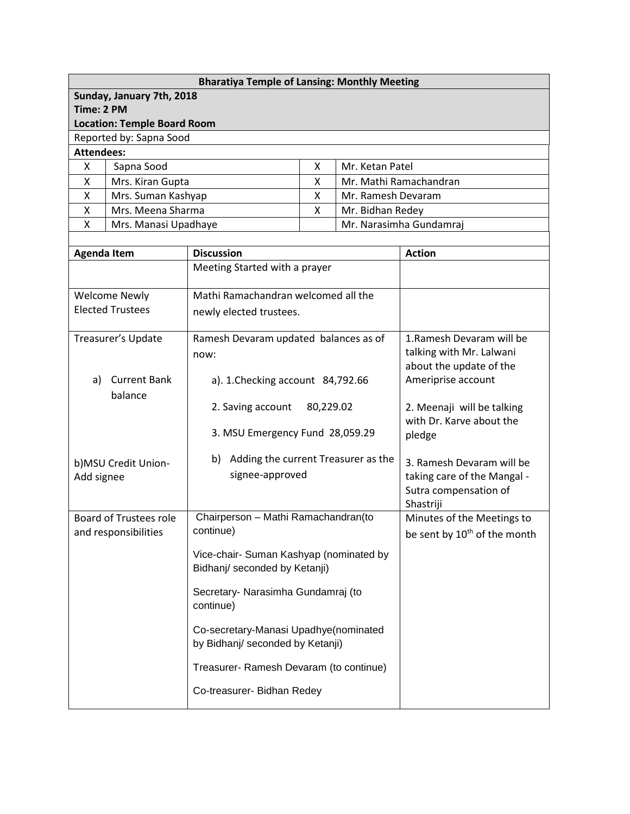| <b>Bharatiya Temple of Lansing: Monthly Meeting</b> |
|-----------------------------------------------------|
| Sunday, January 7th, 2018                           |
| Time: 2 PM                                          |
| <b>Location: Temple Board Room</b>                  |
| Reported by: Sapna Sood                             |
|                                                     |

**Attendees:**

|   | Sapna Sood           |  | Mr. Ketan Patel         |  |  |
|---|----------------------|--|-------------------------|--|--|
| χ | Mrs. Kiran Gupta     |  | Mr. Mathi Ramachandran  |  |  |
|   | Mrs. Suman Kashyap   |  | Mr. Ramesh Devaram      |  |  |
|   | Mrs. Meena Sharma    |  | Mr. Bidhan Redey        |  |  |
|   | Mrs. Manasi Upadhaye |  | Mr. Narasimha Gundamraj |  |  |
|   |                      |  |                         |  |  |

| <b>Agenda Item</b>                                    | <b>Discussion</b>                                                         | <b>Action</b>                                                          |  |
|-------------------------------------------------------|---------------------------------------------------------------------------|------------------------------------------------------------------------|--|
|                                                       | Meeting Started with a prayer                                             |                                                                        |  |
| <b>Welcome Newly</b>                                  | Mathi Ramachandran welcomed all the                                       |                                                                        |  |
| <b>Elected Trustees</b>                               | newly elected trustees.                                                   |                                                                        |  |
| Treasurer's Update                                    | Ramesh Devaram updated balances as of<br>now:                             | 1. Ramesh Devaram will be<br>talking with Mr. Lalwani                  |  |
|                                                       |                                                                           | about the update of the                                                |  |
| <b>Current Bank</b><br>a)<br>balance                  | a). 1. Checking account 84,792.66                                         | Ameriprise account                                                     |  |
|                                                       | 80,229.02<br>2. Saving account                                            | 2. Meenaji will be talking<br>with Dr. Karve about the                 |  |
|                                                       | 3. MSU Emergency Fund 28,059.29                                           | pledge                                                                 |  |
| b)MSU Credit Union-                                   | b) Adding the current Treasurer as the                                    | 3. Ramesh Devaram will be                                              |  |
| Add signee                                            | signee-approved                                                           | taking care of the Mangal -<br>Sutra compensation of<br>Shastriji      |  |
| <b>Board of Trustees role</b><br>and responsibilities | Chairperson - Mathi Ramachandran(to<br>continue)                          | Minutes of the Meetings to<br>be sent by 10 <sup>th</sup> of the month |  |
|                                                       | Vice-chair- Suman Kashyap (nominated by<br>Bidhanj/ seconded by Ketanji)  |                                                                        |  |
|                                                       | Secretary- Narasimha Gundamraj (to<br>continue)                           |                                                                        |  |
|                                                       | Co-secretary-Manasi Upadhye(nominated<br>by Bidhanj/ seconded by Ketanji) |                                                                        |  |
|                                                       | Treasurer- Ramesh Devaram (to continue)                                   |                                                                        |  |
|                                                       | Co-treasurer- Bidhan Redey                                                |                                                                        |  |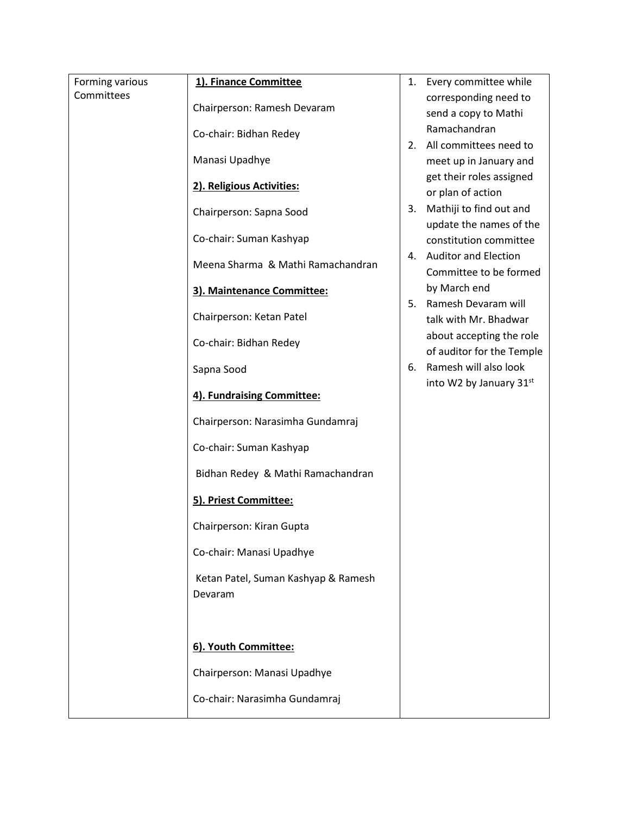| Forming various | 1). Finance Committee                          | 1. | Every committee while     |
|-----------------|------------------------------------------------|----|---------------------------|
| Committees      | Chairperson: Ramesh Devaram                    |    | corresponding need to     |
|                 |                                                |    | send a copy to Mathi      |
|                 | Co-chair: Bidhan Redey                         |    | Ramachandran              |
|                 |                                                | 2. | All committees need to    |
|                 | Manasi Upadhye                                 |    | meet up in January and    |
|                 | 2). Religious Activities:                      |    | get their roles assigned  |
|                 |                                                |    | or plan of action         |
|                 | Chairperson: Sapna Sood                        | 3. | Mathiji to find out and   |
|                 |                                                |    | update the names of the   |
|                 | Co-chair: Suman Kashyap                        |    | constitution committee    |
|                 | Meena Sharma & Mathi Ramachandran              |    | 4. Auditor and Election   |
|                 |                                                |    | Committee to be formed    |
|                 | 3). Maintenance Committee:                     |    | by March end              |
|                 |                                                | 5. | Ramesh Devaram will       |
|                 | Chairperson: Ketan Patel                       |    | talk with Mr. Bhadwar     |
|                 | Co-chair: Bidhan Redey                         |    | about accepting the role  |
|                 |                                                |    | of auditor for the Temple |
|                 | Sapna Sood                                     | 6. | Ramesh will also look     |
|                 | 4). Fundraising Committee:                     |    | into W2 by January 31st   |
|                 | Chairperson: Narasimha Gundamraj               |    |                           |
|                 | Co-chair: Suman Kashyap                        |    |                           |
|                 | Bidhan Redey & Mathi Ramachandran              |    |                           |
|                 | 5). Priest Committee:                          |    |                           |
|                 | Chairperson: Kiran Gupta                       |    |                           |
|                 | Co-chair: Manasi Upadhye                       |    |                           |
|                 | Ketan Patel, Suman Kashyap & Ramesh<br>Devaram |    |                           |
|                 | 6). Youth Committee:                           |    |                           |
|                 |                                                |    |                           |
|                 | Chairperson: Manasi Upadhye                    |    |                           |
|                 | Co-chair: Narasimha Gundamraj                  |    |                           |